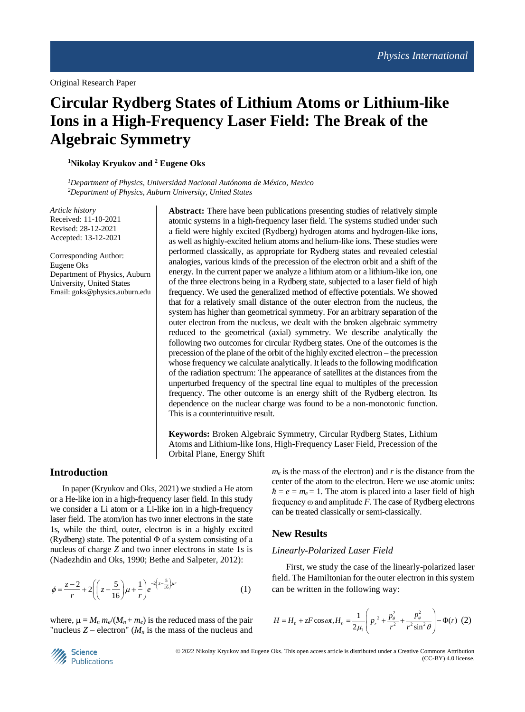# **Circular Rydberg States of Lithium Atoms or Lithium-like Ions in a High-Frequency Laser Field: The Break of the Algebraic Symmetry**

**<sup>1</sup>Nikolay Kryukov and <sup>2</sup> Eugene Oks**

*<sup>1</sup>Department of Physics, Universidad Nacional Autónoma de México, Mexico <sup>2</sup>Department of Physics, Auburn University, United States*

*Article history* Received: 11-10-2021 Revised: 28-12-2021 Accepted: 13-12-2021

Corresponding Author: Eugene Oks Department of Physics, Auburn University, United States Email: goks@physics.auburn.edu

**Abstract:** There have been publications presenting studies of relatively simple atomic systems in a high-frequency laser field. The systems studied under such a field were highly excited (Rydberg) hydrogen atoms and hydrogen-like ions, as well as highly-excited helium atoms and helium-like ions. These studies were performed classically, as appropriate for Rydberg states and revealed celestial analogies, various kinds of the precession of the electron orbit and a shift of the energy. In the current paper we analyze a lithium atom or a lithium-like ion, one of the three electrons being in a Rydberg state, subjected to a laser field of high frequency. We used the generalized method of effective potentials. We showed that for a relatively small distance of the outer electron from the nucleus, the system has higher than geometrical symmetry. For an arbitrary separation of the outer electron from the nucleus, we dealt with the broken algebraic symmetry reduced to the geometrical (axial) symmetry. We describe analytically the following two outcomes for circular Rydberg states. One of the outcomes is the precession of the plane of the orbit of the highly excited electron – the precession whose frequency we calculate analytically. It leads to the following modification of the radiation spectrum: The appearance of satellites at the distances from the unperturbed frequency of the spectral line equal to multiples of the precession frequency. The other outcome is an energy shift of the Rydberg electron. Its dependence on the nuclear charge was found to be a non-monotonic function. This is a counterintuitive result.

**Keywords:** Broken Algebraic Symmetry, Circular Rydberg States, Lithium Atoms and Lithium-like Ions, High-Frequency Laser Field, Precession of the Orbital Plane, Energy Shift

# **Introduction**

In paper (Kryukov and Oks, 2021) we studied a He atom or a He-like ion in a high-frequency laser field. In this study we consider a Li atom or a Li-like ion in a high-frequency laser field. The atom/ion has two inner electrons in the state 1s, while the third, outer, electron is in a highly excited (Rydberg) state. The potential  $\Phi$  of a system consisting of a nucleus of charge *Z* and two inner electrons in state 1s is (Nadezhdin and Oks, 1990; Bethe and Salpeter, 2012):

$$
\phi = \frac{z-2}{r} + 2\left(\left(z - \frac{5}{16}\right)\mu + \frac{1}{r}\right)e^{-2\left(z - \frac{5}{16}\right)\mu r}
$$
 (1)

where,  $\mu = M_n m_e/(M_n + m_e)$  is the reduced mass of the pair "nucleus  $Z$  – electron" ( $M<sub>n</sub>$  is the mass of the nucleus and  $m_e$  is the mass of the electron) and  $r$  is the distance from the center of the atom to the electron. Here we use atomic units:  $\hbar = e = m_e = 1$ . The atom is placed into a laser field of high frequency ω and amplitude *F*. The case of Rydberg electrons can be treated classically or semi-classically.

### **New Results**

#### *Linearly-Polarized Laser Field*

First, we study the case of the linearly-polarized laser field. The Hamiltonian for the outer electron in this system can be written in the following way:

$$
H = H_0 + zF \cos \omega t, H_0 = \frac{1}{2\mu_1} \left( p_r^2 + \frac{p_\theta^2}{r^2} + \frac{p_\phi^2}{r^2 \sin^2 \theta} \right) - \Phi(r) \tag{2}
$$

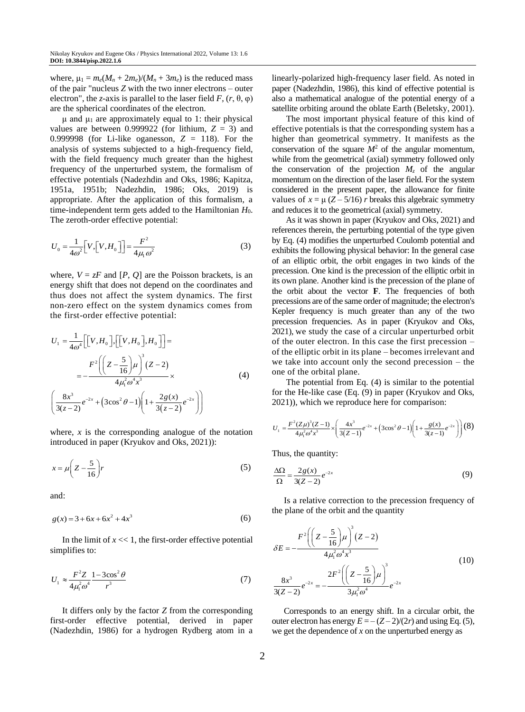where,  $\mu_1 = m_e(M_n + 2m_e)/(M_n + 3m_e)$  is the reduced mass of the pair "nucleus *Z* with the two inner electrons – outer electron", the *z*-axis is parallel to the laser field  $F$ ,  $(r, \theta, \varphi)$ are the spherical coordinates of the electron.

μ and  $μ_1$  are approximately equal to 1: their physical values are between 0.999922 (for lithium,  $Z = 3$ ) and 0.999998 (for Li-like oganesson,  $Z = 118$ ). For the analysis of systems subjected to a high-frequency field, with the field frequency much greater than the highest frequency of the unperturbed system, the formalism of effective potentials (Nadezhdin and Oks, 1986; Kapitza, 1951a, 1951b; Nadezhdin, 1986; Oks, 2019) is appropriate. After the application of this formalism, a time-independent term gets added to the Hamiltonian *H*0. The zeroth-order effective potential:

$$
U_0 = \frac{1}{4\omega^2} \Big[ V, \Big[ V, H_0 \Big] \Big] = \frac{F^2}{4\mu_1 \omega^2} \tag{3}
$$

where,  $V = zF$  and  $[P, Q]$  are the Poisson brackets, is an energy shift that does not depend on the coordinates and thus does not affect the system dynamics. The first non-zero effect on the system dynamics comes from the first-order effective potential:

$$
U_1 = \frac{1}{4\omega^4} \Big[ [V, H_0], \Big[ [V, H_0], H_0 \Big] \Big] =
$$
  
= 
$$
- \frac{F^2 \Big( \Big( Z - \frac{5}{16} \Big) \mu \Big)^3 (Z - 2)}{4\mu_1^2 \omega^4 x^3} \times
$$
  

$$
\Big( \frac{8x^3}{3(z - 2)} e^{-2x} + (3\cos^2 \theta - 1) \Big( 1 + \frac{2g(x)}{3(z - 2)} e^{-2x} \Big) \Big)
$$
(4)

where,  $x$  is the corresponding analogue of the notation introduced in paper (Kryukov and Oks, 2021)):

$$
x = \mu \left( Z - \frac{5}{16} \right) r \tag{5}
$$

and:

$$
g(x) = 3 + 6x + 6x^2 + 4x^3 \tag{6}
$$

In the limit of  $x \ll 1$ , the first-order effective potential simplifies to:

$$
U_1 \approx \frac{F^2 Z}{4\mu_1^2 \omega^4} \frac{1 - 3\cos^2 \theta}{r^3} \tag{7}
$$

It differs only by the factor *Z* from the corresponding first-order effective potential, derived in paper (Nadezhdin, 1986) for a hydrogen Rydberg atom in a linearly-polarized high-frequency laser field. As noted in paper (Nadezhdin, 1986), this kind of effective potential is also a mathematical analogue of the potential energy of a satellite orbiting around the oblate Earth (Beletsky, 2001).

The most important physical feature of this kind of effective potentials is that the corresponding system has a higher than geometrical symmetry. It manifests as the conservation of the square  $M^2$  of the angular momentum, while from the geometrical (axial) symmetry followed only the conservation of the projection  $M_z$  of the angular momentum on the direction of the laser field. For the system considered in the present paper, the allowance for finite values of  $x = \mu (Z - 5/16) r$  breaks this algebraic symmetry and reduces it to the geometrical (axial) symmetry.

As it was shown in paper (Kryukov and Oks, 2021) and references therein, the perturbing potential of the type given by Eq. (4) modifies the unperturbed Coulomb potential and exhibits the following physical behavior: In the general case of an elliptic orbit, the orbit engages in two kinds of the precession. One kind is the precession of the elliptic orbit in its own plane. Another kind is the precession of the plane of the orbit about the vector **F**. The frequencies of both precessions are of the same order of magnitude; the electron's Kepler frequency is much greater than any of the two precession frequencies. As in paper (Kryukov and Oks, 2021), we study the case of a circular unperturbed orbit of the outer electron. In this case the first precession – of the elliptic orbit in its plane – becomes irrelevant and we take into account only the second precession – the one of the orbital plane.

The potential from Eq. (4) is similar to the potential for the He-like case (Eq. (9) in paper (Kryukov and Oks, 2021)), which we reproduce here for comparison:

$$
U_1 = \frac{F^2 (Z\mu)^3 (Z-1)}{4\mu_1^2 \omega^4 x^3} \times \left(\frac{4x^3}{3(Z-1)} e^{-2x} + (3\cos^2 \theta - 1) \left(1 + \frac{g(x)}{3(z-1)} e^{-2x}\right)\right)
$$
(8)

Thus, the quantity:

$$
\frac{\Delta\Omega}{\Omega} = \frac{2g(x)}{3(Z-2)} e^{-2x}
$$
\n(9)

Is a relative correction to the precession frequency of the plane of the orbit and the quantity

$$
\delta E = -\frac{F^2 \left( \left( Z - \frac{5}{16} \right) \mu \right)^3 (Z - 2)}{4 \mu_1^2 \omega^4 x^3}
$$
  

$$
\frac{8x^3}{3(Z - 2)} e^{-2x} = -\frac{2F^2 \left( \left( Z - \frac{5}{16} \right) \mu \right)^3}{3 \mu_1^2 \omega^4} e^{-2x}
$$
 $(10)$ 

Corresponds to an energy shift. In a circular orbit, the outer electron has energy  $E = -(Z-2)/(2r)$  and using Eq. (5), we get the dependence of  $x$  on the unperturbed energy as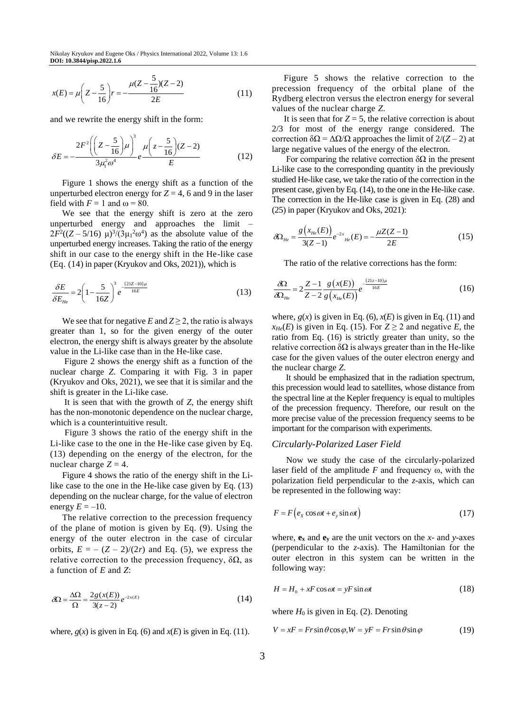$$
x(E) = \mu \left( Z - \frac{5}{16} \right) r = -\frac{\mu (Z - \frac{5}{16}) (Z - 2)}{2E} \tag{11}
$$

and we rewrite the energy shift in the form:

$$
\delta E = -\frac{2F^2 \left( \left( Z - \frac{5}{16} \right) \mu \right)^3}{3\mu_1^2 \omega^4} e^{\frac{\mu \left( Z - \frac{5}{16} \right) (Z - 2)}{E}} \tag{12}
$$

Figure 1 shows the energy shift as a function of the unperturbed electron energy for  $Z = 4$ , 6 and 9 in the laser field with  $F = 1$  and  $\omega = 80$ .

We see that the energy shift is zero at the zero unperturbed energy and approaches the limit –  $2F^2((Z-5/16) \mu)^3/(3\mu_1^2\omega^4)$  as the absolute value of the unperturbed energy increases. Taking the ratio of the energy shift in our case to the energy shift in the He-like case (Eq. (14) in paper (Kryukov and Oks, 2021)), which is

$$
\frac{\delta E}{\delta E_{He}} = 2\left(1 - \frac{5}{16Z}\right)^3 e^{-\frac{(21Z - 10)\mu}{16E}}
$$
(13)

We see that for negative *E* and  $Z \geq 2$ , the ratio is always greater than 1, so for the given energy of the outer electron, the energy shift is always greater by the absolute value in the Li-like case than in the He-like case.

Figure 2 shows the energy shift as a function of the nuclear charge *Z*. Comparing it with Fig. 3 in paper (Kryukov and Oks, 2021), we see that it is similar and the shift is greater in the Li-like case.

It is seen that with the growth of *Z*, the energy shift has the non-monotonic dependence on the nuclear charge, which is a counterintuitive result.

Figure 3 shows the ratio of the energy shift in the Li-like case to the one in the He-like case given by Eq. (13) depending on the energy of the electron, for the nuclear charge  $Z = 4$ .

Figure 4 shows the ratio of the energy shift in the Lilike case to the one in the He-like case given by Eq. (13) depending on the nuclear charge, for the value of electron energy  $E = -10$ .

The relative correction to the precession frequency of the plane of motion is given by Eq. (9). Using the energy of the outer electron in the case of circular orbits,  $E = - (Z - 2)/(2r)$  and Eq. (5), we express the relative correction to the precession frequency,  $δΩ$ , as a function of *E* and *Z*:

$$
\delta\Omega = \frac{\Delta\Omega}{\Omega} = \frac{2g(x(E))}{3(z-2)}e^{-2x(E)}\tag{14}
$$

where,  $g(x)$  is given in Eq. (6) and  $x(E)$  is given in Eq. (11).

Figure 5 shows the relative correction to the precession frequency of the orbital plane of the Rydberg electron versus the electron energy for several values of the nuclear charge *Z*.

It is seen that for  $Z = 5$ , the relative correction is about 2/3 for most of the energy range considered. The correction  $δΩ = ΔΩ/Ω$  approaches the limit of  $2/(Z – 2)$  at large negative values of the energy of the electron.

For comparing the relative correction  $\delta\Omega$  in the present Li-like case to the corresponding quantity in the previously studied He-like case, we take the ratio of the correction in the present case, given by Eq. (14), to the one in the He-like case. The correction in the He-like case is given in Eq. (28) and (25) in paper (Kryukov and Oks, 2021):

$$
\delta\!\Omega_{He} = \frac{g(x_{He}(E))}{3(Z-1)} e^{-2x}{}_{He}(E) = -\frac{\mu Z(Z-1)}{2E}
$$
 (15)

The ratio of the relative corrections has the form:

$$
\frac{\delta\Omega}{\delta\Omega_{He}} = 2\frac{Z - 1}{Z - 2}\frac{g(x(E))}{g(x_{He}(E))}e^{-\frac{(21z - 10)\mu}{16E}}
$$
(16)

where,  $g(x)$  is given in Eq. (6),  $x(E)$  is given in Eq. (11) and  $x_{He}(E)$  is given in Eq. (15). For  $Z \ge 2$  and negative *E*, the ratio from Eq. (16) is strictly greater than unity, so the relative correction  $δΩ$  is always greater than in the He-like case for the given values of the outer electron energy and the nuclear charge *Z*.

It should be emphasized that in the radiation spectrum, this precession would lead to satellites, whose distance from the spectral line at the Kepler frequency is equal to multiples of the precession frequency. Therefore, our result on the more precise value of the precession frequency seems to be important for the comparison with experiments.

#### *Circularly-Polarized Laser Field*

Now we study the case of the circularly-polarized laser field of the amplitude *F* and frequency ω, with the polarization field perpendicular to the *z*-axis, which can be represented in the following way:

$$
F = F(e_x \cos \omega t + e_y \sin \omega t) \tag{17}
$$

where,  $\mathbf{e}_x$  and  $\mathbf{e}_y$  are the unit vectors on the *x*- and *y*-axes (perpendicular to the *z*-axis). The Hamiltonian for the outer electron in this system can be written in the following way:

$$
H = H_0 + xF\cos\omega t = yF\sin\omega t
$$
 (18)

where  $H_0$  is given in Eq. (2). Denoting

$$
V = xF = Fr\sin\theta\cos\varphi, W = yF = Fr\sin\theta\sin\varphi
$$
 (19)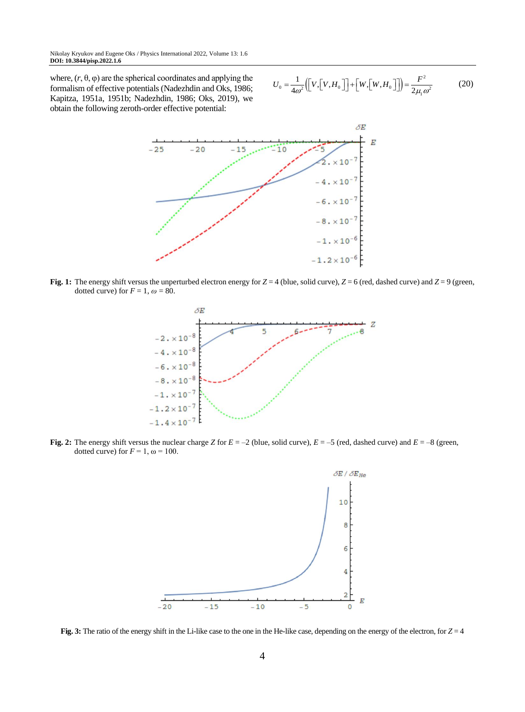where,  $(r, \theta, \varphi)$  are the spherical coordinates and applying the formalism of effective potentials (Nadezhdin and Oks, 1986; Kapitza, 1951a, 1951b; Nadezhdin, 1986; Oks, 2019), we obtain the following zeroth-order effective potential:

$$
U_0 = \frac{1}{4\omega^2} \left( \left[ V, \left[ V, H_0 \right] \right] + \left[ W, \left[ W, H_0 \right] \right] \right) = \frac{F^2}{2\mu_1 \omega^2}
$$
 (20)



**Fig. 1:** The energy shift versus the unperturbed electron energy for  $Z = 4$  (blue, solid curve),  $Z = 6$  (red, dashed curve) and  $Z = 9$  (green, dotted curve) for  $F = 1$ ,  $\omega = 80$ .



**Fig. 2:** The energy shift versus the nuclear charge *Z* for *E* = –2 (blue, solid curve), *E* = –5 (red, dashed curve) and *E* = –8 (green, dotted curve) for  $F = 1$ ,  $\omega = 100$ .



**Fig. 3:** The ratio of the energy shift in the Li-like case to the one in the He-like case, depending on the energy of the electron, for  $Z = 4$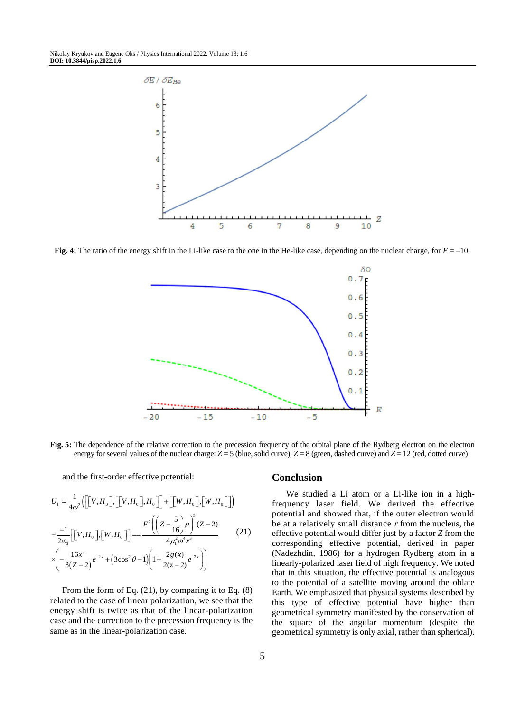

**Fig. 4:** The ratio of the energy shift in the Li-like case to the one in the He-like case, depending on the nuclear charge, for *E* = –10.



**Fig. 5:** The dependence of the relative correction to the precession frequency of the orbital plane of the Rydberg electron on the electron energy for several values of the nuclear charge:  $Z = 5$  (blue, solid curve),  $Z = 8$  (green, dashed curve) and  $Z = 12$  (red, dotted curve)

and the first-order effective potential:

$$
U_{1} = \frac{1}{4\omega^{2}} \Biggl( \Biggl[ [V, H_{0} \Biggr], \Biggl[ [V, H_{0} \Biggr], H_{0} \Biggr] \Biggr) + \Biggl[ [W, H_{0} \Biggr], \Biggl[ W, H_{0} \Biggr] \Biggr] \Biggr)
$$
  
+ 
$$
\frac{-1}{2\omega_{3}} \Biggl[ [V, H_{0} \Biggr], \Biggl[ W, H_{0} \Biggr] \Biggr] = \frac{F^{2} \Biggl( \Biggl( Z - \frac{5}{16} \Biggr) \mu \Biggr)^{3} (Z - 2)}{4\mu_{1}^{2} \omega^{4} x^{3}} \qquad (21)
$$
  

$$
\times \Biggl( -\frac{16x^{3}}{3(Z - 2)} e^{-2x} + \Biggl( 3\cos^{2} \theta - 1 \Biggr) \Biggl( 1 + \frac{2g(x)}{2(z - 2)} e^{-2x} \Biggr) \Biggr)
$$

From the form of Eq. (21), by comparing it to Eq. (8) related to the case of linear polarization, we see that the energy shift is twice as that of the linear-polarization case and the correction to the precession frequency is the same as in the linear-polarization case.

## **Conclusion**

We studied a Li atom or a Li-like ion in a highfrequency laser field. We derived the effective potential and showed that, if the outer electron would be at a relatively small distance *r* from the nucleus, the effective potential would differ just by a factor *Z* from the corresponding effective potential, derived in paper (Nadezhdin, 1986) for a hydrogen Rydberg atom in a linearly-polarized laser field of high frequency. We noted that in this situation, the effective potential is analogous to the potential of a satellite moving around the oblate Earth. We emphasized that physical systems described by this type of effective potential have higher than geometrical symmetry manifested by the conservation of the square of the angular momentum (despite the geometrical symmetry is only axial, rather than spherical).